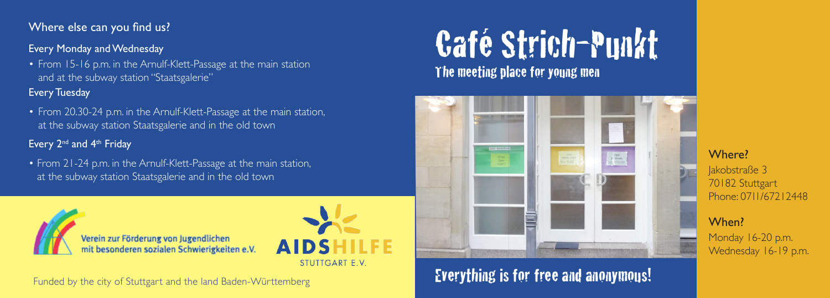## Where else can you find us?

### Every Monday and Wednesday

• From 15-16 p.m. in the Arnulf-Klett-Passage at the main station and at the subway station "Staatsgalerie"

### Every Tuesday

• From 20.30-24 p.m. in the Arnulf-Klett-Passage at the main station, at the subway station Staatsgalerie and in the old town

### Every 2<sup>nd</sup> and 4<sup>th</sup> Friday

• From 21-24 p.m. in the Arnulf-Klett-Passage at the main station, at the subway station Staatsgalerie and in the old town



Funded by the city of Stuttgart and the land Baden-Württemberg

# Café Strich-Punkt The meeting place for young men



# Everything is for free and anonymous!

Where?

Jakobstraße 3 70182 Stuttgart Phone: 0711/67212448

# When?

Monday 16-20 p.m. Wednesday 16-19 p.m.